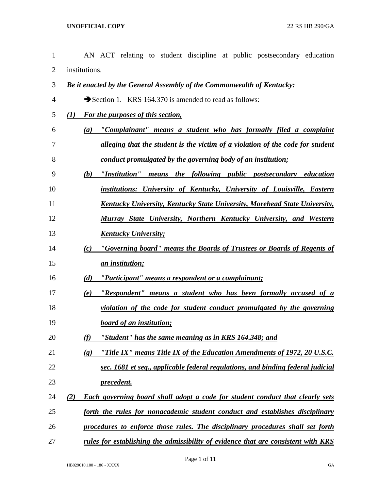| 1  |     | AN ACT relating to student discipline at public postsecondary education                                 |
|----|-----|---------------------------------------------------------------------------------------------------------|
| 2  |     | institutions.                                                                                           |
| 3  |     | Be it enacted by the General Assembly of the Commonwealth of Kentucky:                                  |
| 4  |     | Section 1. KRS 164.370 is amended to read as follows:                                                   |
| 5  | (I) | For the purposes of this section,                                                                       |
| 6  |     | "Complainant" means a student who has formally filed a complaint<br>(a)                                 |
| 7  |     | alleging that the student is the victim of a violation of the code for student                          |
| 8  |     | conduct promulgated by the governing body of an institution;                                            |
| 9  |     | "Institution" means the following public postsecondary education<br>(b)                                 |
| 10 |     | institutions: University of Kentucky, University of Louisville, Eastern                                 |
| 11 |     | <b>Kentucky University, Kentucky State University, Morehead State University,</b>                       |
| 12 |     | Murray State University, Northern Kentucky University, and Western                                      |
| 13 |     | <b>Kentucky University;</b>                                                                             |
| 14 |     | "Governing board" means the Boards of Trustees or Boards of Regents of<br>(c)                           |
| 15 |     | an institution;                                                                                         |
| 16 |     | "Participant" means a respondent or a complainant;<br>(d)                                               |
| 17 |     | "Respondent" means a student who has been formally accused of a<br>(e)                                  |
| 18 |     | violation of the code for student conduct promulgated by the governing                                  |
| 19 |     | <b>board of an institution;</b>                                                                         |
| 20 |     | "Student" has the same meaning as in KRS 164.348; and<br>(f)                                            |
| 21 |     | "Title IX" means Title IX of the Education Amendments of 1972, 20 U.S.C.<br>$\left( \mathbf{g} \right)$ |
| 22 |     | sec. 1681 et seq., applicable federal regulations, and binding federal judicial                         |
| 23 |     | <i>precedent.</i>                                                                                       |
| 24 | (2) | Each governing board shall adopt a code for student conduct that clearly sets                           |
| 25 |     | forth the rules for nonacademic student conduct and establishes disciplinary                            |
| 26 |     | procedures to enforce those rules. The disciplinary procedures shall set forth                          |

*rules for establishing the admissibility of evidence that are consistent with KRS*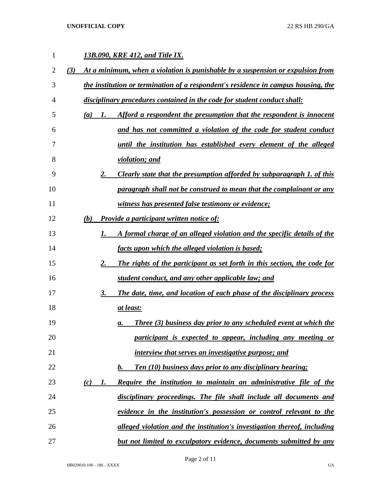**UNOFFICIAL COPY** 22 RS HB 290/GA

| $\mathbf{1}$ |     | 13B.090, KRE 412, and Title IX.                                                   |    |                                                                               |  |  |  |
|--------------|-----|-----------------------------------------------------------------------------------|----|-------------------------------------------------------------------------------|--|--|--|
| 2            | (3) | At a minimum, when a violation is punishable by a suspension or expulsion from    |    |                                                                               |  |  |  |
| 3            |     | the institution or termination of a respondent's residence in campus housing, the |    |                                                                               |  |  |  |
| 4            |     | disciplinary procedures contained in the code for student conduct shall:          |    |                                                                               |  |  |  |
| 5            |     | (a)                                                                               | 1. | Afford a respondent the presumption that the respondent is innocent           |  |  |  |
| 6            |     |                                                                                   |    | and has not committed a violation of the code for student conduct             |  |  |  |
| 7            |     |                                                                                   |    | <u>until the institution has established every element of the alleged</u>     |  |  |  |
| 8            |     |                                                                                   |    | <i>violation; and</i>                                                         |  |  |  |
| 9            |     |                                                                                   | 2. | Clearly state that the presumption afforded by subparagraph 1. of this        |  |  |  |
| 10           |     |                                                                                   |    | paragraph shall not be construed to mean that the complainant or any          |  |  |  |
| 11           |     |                                                                                   |    | <u>witness has presented false testimony or evidence;</u>                     |  |  |  |
| 12           |     | (b)                                                                               |    | <b>Provide a participant written notice of:</b>                               |  |  |  |
| 13           |     |                                                                                   | 1. | A formal charge of an alleged violation and the specific details of the       |  |  |  |
| 14           |     |                                                                                   |    | <u>facts upon which the alleged violation is based;</u>                       |  |  |  |
| 15           |     |                                                                                   | 2. | The rights of the participant as set forth in this section, the code for      |  |  |  |
| 16           |     |                                                                                   |    | student conduct, and any other applicable law; and                            |  |  |  |
| 17           |     |                                                                                   | 3. | The date, time, and location of each phase of the disciplinary process        |  |  |  |
| 18           |     |                                                                                   |    | at least:                                                                     |  |  |  |
| 19           |     |                                                                                   |    | <b>Three (3) business day prior to any scheduled event at which the</b><br>а. |  |  |  |
| 20           |     |                                                                                   |    | participant is expected to appear, including any meeting or                   |  |  |  |
| 21           |     |                                                                                   |    | interview that serves an investigative purpose; and                           |  |  |  |
| 22           |     |                                                                                   |    | Ten (10) business days prior to any disciplinary hearing;<br>$\mathbf{b}$ .   |  |  |  |
| 23           |     | (c)                                                                               | 1. | <b>Require the institution to maintain an administrative file of the</b>      |  |  |  |
| 24           |     |                                                                                   |    | disciplinary proceedings. The file shall include all documents and            |  |  |  |
| 25           |     |                                                                                   |    | evidence in the institution's possession or control relevant to the           |  |  |  |
| 26           |     |                                                                                   |    | alleged violation and the institution's investigation thereof, including      |  |  |  |
| 27           |     |                                                                                   |    | but not limited to exculpatory evidence, documents submitted by any           |  |  |  |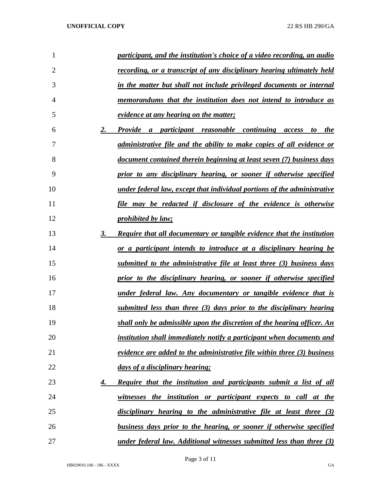| 1  |    | participant, and the institution's choice of a video recording, an audio        |
|----|----|---------------------------------------------------------------------------------|
| 2  |    | <u>recording, or a transcript of any disciplinary hearing ultimately held</u>   |
| 3  |    | in the matter but shall not include privileged documents or internal            |
| 4  |    | memorandums that the institution does not intend to introduce as                |
| 5  |    | <u>evidence at any hearing on the matter;</u>                                   |
| 6  | 2. | Provide a participant reasonable continuing access<br><i>the</i><br>to          |
| 7  |    | <u>administrative file and the ability to make copies of all evidence or</u>    |
| 8  |    | <u>document contained therein beginning at least seven (7) business days</u>    |
| 9  |    | prior to any disciplinary hearing, or sooner if otherwise specified             |
| 10 |    | <u>under federal law, except that individual portions of the administrative</u> |
| 11 |    | <u>file may be redacted if disclosure of the evidence is otherwise</u>          |
| 12 |    | <i>prohibited by law;</i>                                                       |
| 13 | 3. | <b>Require that all documentary or tangible evidence that the institution</b>   |
| 14 |    | or a participant intends to introduce at a disciplinary hearing be              |
| 15 |    | submitted to the administrative file at least three (3) business days           |
| 16 |    | prior to the disciplinary hearing, or sooner if otherwise specified             |
| 17 |    | <u>under federal law. Any documentary or tangible evidence that is</u>          |
| 18 |    | submitted less than three (3) days prior to the disciplinary hearing            |
| 19 |    | shall only be admissible upon the discretion of the hearing officer. An         |
| 20 |    | institution shall immediately notify a participant when documents and           |
| 21 |    | evidence are added to the administrative file within three (3) business         |
| 22 |    | days of a disciplinary hearing;                                                 |
| 23 | 4. | <b>Require that the institution and participants submit a list of all</b>       |
| 24 |    | witnesses the institution or participant expects to call at the                 |
| 25 |    | disciplinary hearing to the administrative file at least three (3)              |
| 26 |    | business days prior to the hearing, or sooner if otherwise specified            |
| 27 |    | <u>under federal law. Additional witnesses submitted less than three (3)</u>    |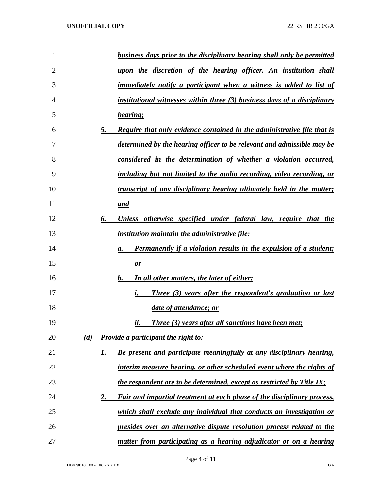| 1              |     | business days prior to the disciplinary hearing shall only be permitted        |
|----------------|-----|--------------------------------------------------------------------------------|
| $\overline{2}$ |     | upon the discretion of the hearing officer. An institution shall               |
| 3              |     | <i>immediately notify a participant when a witness is added to list of</i>     |
| $\overline{4}$ |     | institutional witnesses within three (3) business days of a disciplinary       |
| 5              |     | hearing;                                                                       |
| 6              | 5.  | <b>Require that only evidence contained in the administrative file that is</b> |
| 7              |     | determined by the hearing officer to be relevant and admissible may be         |
| 8              |     | considered in the determination of whether a violation occurred,               |
| 9              |     | including but not limited to the audio recording, video recording, or          |
| 10             |     | <i>transcript of any disciplinary hearing ultimately held in the matter;</i>   |
| 11             |     | and                                                                            |
| 12             | 6.  | Unless otherwise specified under federal law, require that the                 |
| 13             |     | <i>institution maintain the administrative file:</i>                           |
| 14             |     | <b>Permanently if a violation results in the expulsion of a student;</b><br>а. |
| 15             |     | $\mathbf{r}$                                                                   |
| 16             |     | In all other matters, the later of either:<br>$\bm{b}$ .                       |
| 17             |     | i.<br>Three (3) years after the respondent's graduation or last                |
| 18             |     | date of attendance; or                                                         |
| 19             |     | Three (3) years after all sanctions have been met;<br>ii.                      |
| 20             | (d) | Provide a participant the right to:                                            |
| 21             | 1.  | Be present and participate meaningfully at any disciplinary hearing,           |
| 22             |     | interim measure hearing, or other scheduled event where the rights of          |
| 23             |     | the respondent are to be determined, except as restricted by Title IX;         |
| 24             | 2.  | Fair and impartial treatment at each phase of the disciplinary process,        |
| 25             |     | which shall exclude any individual that conducts an investigation or           |
| 26             |     | presides over an alternative dispute resolution process related to the         |
| 27             |     | matter from participating as a hearing adjudicator or on a hearing             |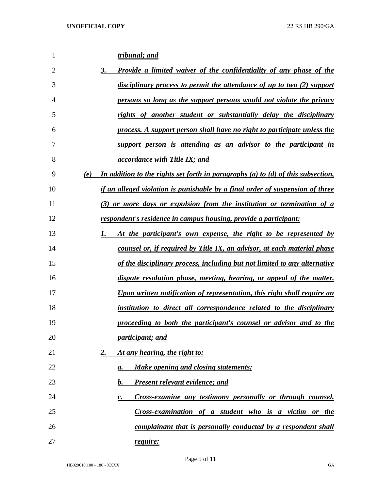| 1  | tribunal; and                                                                           |
|----|-----------------------------------------------------------------------------------------|
| 2  | <b>Provide a limited waiver of the confidentiality of any phase of the</b><br>3.        |
| 3  | disciplinary process to permit the attendance of up to two (2) support                  |
| 4  | persons so long as the support persons would not violate the privacy                    |
| 5  | rights of another student or substantially delay the disciplinary                       |
| 6  | process. A support person shall have no right to participate unless the                 |
| 7  | support person is attending as an advisor to the participant in                         |
| 8  | <i>accordance with Title IX; and</i>                                                    |
| 9  | In addition to the rights set forth in paragraphs (a) to (d) of this subsection,<br>(e) |
| 10 | if an alleged violation is punishable by a final order of suspension of three           |
| 11 | (3) or more days or expulsion from the institution or termination of a                  |
| 12 | respondent's residence in campus housing, provide a participant:                        |
| 13 | At the participant's own expense, the right to be represented by                        |
| 14 | counsel or, if required by Title IX, an advisor, at each material phase                 |
| 15 | of the disciplinary process, including but not limited to any alternative               |
| 16 | dispute resolution phase, meeting, hearing, or appeal of the matter.                    |
| 17 | Upon written notification of representation, this right shall require an                |
| 18 | institution to direct all correspondence related to the disciplinary                    |
| 19 | proceeding to both the participant's counsel or advisor and to the                      |
| 20 | <i>participant; and</i>                                                                 |
| 21 | At any hearing, the right to:<br>2.                                                     |
| 22 | <b>Make opening and closing statements;</b><br>а.                                       |
| 23 | <b>Present relevant evidence; and</b><br>b.                                             |
| 24 | Cross-examine any testimony personally or through counsel.<br>$\mathbf{c}$ .            |
| 25 | Cross-examination of a student who is a victim or the                                   |
| 26 | complainant that is personally conducted by a respondent shall                          |
| 27 | <u>require:</u>                                                                         |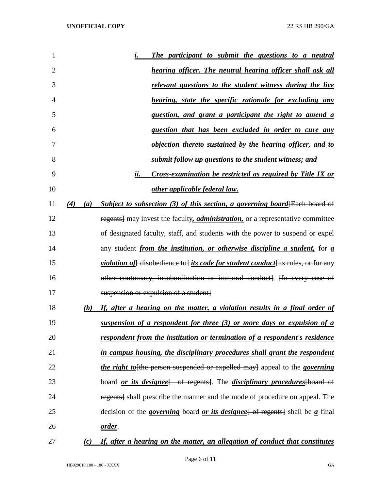| 1              |            | The participant to submit the questions to a neutral<br>i.                                                        |
|----------------|------------|-------------------------------------------------------------------------------------------------------------------|
| $\overline{2}$ |            | <b>hearing officer.</b> The neutral hearing officer shall ask all                                                 |
| 3              |            | relevant questions to the student witness during the live                                                         |
| 4              |            | <u>hearing, state the specific rationale for excluding any</u>                                                    |
| 5              |            | question, and grant a participant the right to amend a                                                            |
| 6              |            | question that has been excluded in order to cure any                                                              |
| 7              |            | objection thereto sustained by the hearing officer, and to                                                        |
| 8              |            | submit follow up questions to the student witness; and                                                            |
| 9              |            | ii.<br>Cross-examination be restricted as required by Title IX or                                                 |
| 10             |            | other applicable federal law.                                                                                     |
| 11             | (4)<br>(a) | Subject to subsection $(3)$ of this section, a governing board Each board of                                      |
| 12             |            | regents] may invest the faculty, <i>administration</i> , or a representative committee                            |
| 13             |            | of designated faculty, staff, and students with the power to suspend or expel                                     |
| 14             |            | any student <i>from the institution, or otherwise discipline a student</i> , for a                                |
| 15             |            | <i>violation of</i> disobedience to <i>its code for student conduct</i> its rules, or for any                     |
| 16             |            | other contumacy, insubordination or immoral conduct). Hn every case of                                            |
| 17             |            | suspension or expulsion of a student                                                                              |
| 18             | (b)        | If, after a hearing on the matter, a violation results in a final order of                                        |
| 19             |            | suspension of a respondent for three (3) or more days or expulsion of a                                           |
| 20             |            | respondent from the institution or termination of a respondent's residence                                        |
| 21             |            | in campus housing, the disciplinary procedures shall grant the respondent                                         |
| 22             |            | <i>the right to</i> the person suspended or expelled may appeal to the <i>governing</i>                           |
| 23             |            | board <u>or its designee</u> of regents]. The <i>disciplinary procedures</i> [board of                            |
| 24             |            | regents] shall prescribe the manner and the mode of procedure on appeal. The                                      |
| 25             |            | decision of the <i>governing</i> board <i>or its designee</i> $\left\{\text{of }$ regents shall be <i>a</i> final |
| 26             |            | <u>order</u> .                                                                                                    |
|                |            |                                                                                                                   |

## *(c) If, after a hearing on the matter, an allegation of conduct that constitutes*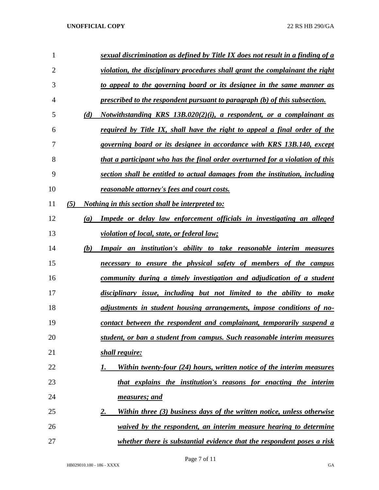## **UNOFFICIAL COPY** 22 RS HB 290/GA

| 1              |     | sexual discrimination as defined by Title IX does not result in a finding of a |
|----------------|-----|--------------------------------------------------------------------------------|
| $\overline{2}$ |     | violation, the disciplinary procedures shall grant the complainant the right   |
| 3              |     | to appeal to the governing board or its designee in the same manner as         |
| 4              |     | prescribed to the respondent pursuant to paragraph (b) of this subsection.     |
| 5              | (d) | Notwithstanding KRS $13B.020(2)(i)$ , a respondent, or a complainant as        |
| 6              |     | required by Title IX, shall have the right to appeal a final order of the      |
| 7              |     | governing board or its designee in accordance with KRS 13B.140, except         |
| 8              |     | that a participant who has the final order overturned for a violation of this  |
| 9              |     | section shall be entitled to actual damages from the institution, including    |
| 10             |     | reasonable attorney's fees and court costs.                                    |
| 11             | (5) | <i>Nothing in this section shall be interpreted to:</i>                        |
| 12             | (a) | Impede or delay law enforcement officials in investigating an alleged          |
| 13             |     | <i>violation of local, state, or federal law;</i>                              |
| 14             | (b) | Impair an institution's ability to take reasonable interim measures            |
| 15             |     | necessary to ensure the physical safety of members of the campus               |
| 16             |     | community during a timely investigation and adjudication of a student          |
| 17             |     | disciplinary issue, including but not limited to the ability to make           |
| 18             |     | adjustments in student housing arrangements, impose conditions of no-          |
| 19             |     | contact between the respondent and complainant, temporarily suspend a          |
| 20             |     | student, or ban a student from campus. Such reasonable interim measures        |
| 21             |     | shall require:                                                                 |
| 22             |     | Within twenty-four (24) hours, written notice of the interim measures<br>I.    |
| 23             |     | that explains the institution's reasons for enacting the interim               |
| 24             |     | measures; and                                                                  |
| 25             |     | Within three (3) business days of the written notice, unless otherwise<br>2.   |
| 26             |     | waived by the respondent, an interim measure hearing to determine              |
| 27             |     | whether there is substantial evidence that the respondent poses a risk         |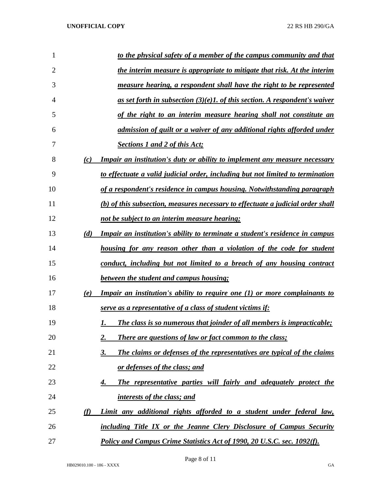| 1  |     | <u>to the physical safety of a member of the campus community and that</u>        |
|----|-----|-----------------------------------------------------------------------------------|
| 2  |     | the interim measure is appropriate to mitigate that risk. At the interim          |
| 3  |     | measure hearing, a respondent shall have the right to be represented              |
| 4  |     | as set forth in subsection $(3)(e)$ . of this section. A respondent's waiver      |
| 5  |     | of the right to an interim measure hearing shall not constitute an                |
| 6  |     | admission of guilt or a waiver of any additional rights afforded under            |
| 7  |     | <b>Sections 1 and 2 of this Act;</b>                                              |
| 8  | (c) | <u>Impair an institution's duty or ability to implement any measure necessary</u> |
| 9  |     | to effectuate a valid judicial order, including but not limited to termination    |
| 10 |     | of a respondent's residence in campus housing. Notwithstanding paragraph          |
| 11 |     | (b) of this subsection, measures necessary to effectuate a judicial order shall   |
| 12 |     | not be subject to an interim measure hearing;                                     |
| 13 | (d) | Impair an institution's ability to terminate a student's residence in campus      |
| 14 |     | <u>housing for any reason other than a violation of the code for student</u>      |
| 15 |     | conduct, including but not limited to a breach of any housing contract            |
| 16 |     | between the student and campus housing;                                           |
| 17 | (e) | <b>Impair an institution's ability to require one (1) or more complainants to</b> |
| 18 |     | serve as a representative of a class of student victims if:                       |
| 19 |     | The class is so numerous that joinder of all members is impracticable;<br>I.      |
| 20 |     | <b>There are questions of law or fact common to the class;</b><br>2.              |
| 21 |     | The claims or defenses of the representatives are typical of the claims<br>3.     |
| 22 |     | or defenses of the class; and                                                     |
| 23 |     | The representative parties will fairly and adequately protect the<br>4.           |
| 24 |     | interests of the class; and                                                       |
| 25 | (f) | Limit any additional rights afforded to a student under federal law,              |
| 26 |     | including Title IX or the Jeanne Clery Disclosure of Campus Security              |
| 27 |     | Policy and Campus Crime Statistics Act of 1990, 20 U.S.C. sec. 1092(f).           |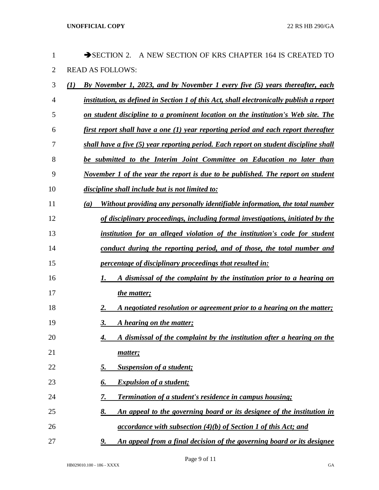| 1              | SECTION 2. A NEW SECTION OF KRS CHAPTER 164 IS CREATED TO                               |
|----------------|-----------------------------------------------------------------------------------------|
| $\overline{2}$ | <b>READ AS FOLLOWS:</b>                                                                 |
| 3              | By November 1, 2023, and by November 1 every five (5) years thereafter, each<br>(1)     |
| 4              | institution, as defined in Section 1 of this Act, shall electronically publish a report |
| 5              | on student discipline to a prominent location on the institution's Web site. The        |
| 6              | first report shall have a one (1) year reporting period and each report thereafter      |
| 7              | shall have a five (5) year reporting period. Each report on student discipline shall    |
| 8              | be submitted to the Interim Joint Committee on Education no later than                  |
| 9              | November 1 of the year the report is due to be published. The report on student         |
| 10             | discipline shall include but is not limited to:                                         |
| 11             | Without providing any personally identifiable information, the total number<br>(a)      |
| 12             | of disciplinary proceedings, including formal investigations, initiated by the          |
| 13             | institution for an alleged violation of the institution's code for student              |
| 14             | conduct during the reporting period, and of those, the total number and                 |
| 15             | <i>percentage of disciplinary proceedings that resulted in:</i>                         |
| 16             | A dismissal of the complaint by the institution prior to a hearing on<br>1.             |
| 17             | <i>the matter;</i>                                                                      |
| 18             | A negotiated resolution or agreement prior to a hearing on the matter;<br>2.            |
| 19             | 3.<br>A hearing on the matter;                                                          |
| 20             | A dismissal of the complaint by the institution after a hearing on the<br>4.            |
| 21             | matter;                                                                                 |
| 22             | <b>Suspension of a student;</b><br><u>5.</u>                                            |
| 23             | <b>Expulsion of a student;</b><br>6.                                                    |
| 24             | <b>Termination of a student's residence in campus housing;</b><br>7.                    |
| 25             | 8.<br>An appeal to the governing board or its designee of the institution in            |
| 26             | $accordance$ with subsection $(4)(b)$ of Section 1 of this Act; and                     |
| 27             | An appeal from a final decision of the governing board or its designee<br>9.            |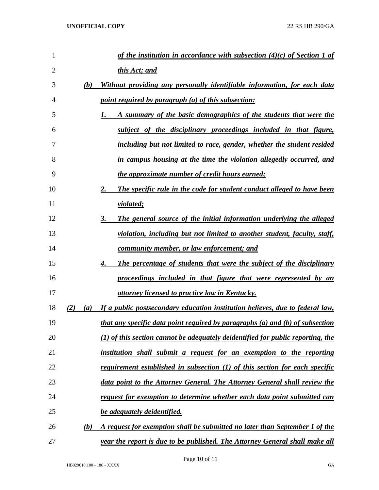| 1              |     | of the institution in accordance with subsection $(4)(c)$ of Section 1 of         |
|----------------|-----|-----------------------------------------------------------------------------------|
| $\overline{2}$ |     | this Act; and                                                                     |
| 3              | (b) | Without providing any personally identifiable information, for each data          |
| $\overline{4}$ |     | <i>point required by paragraph (a) of this subsection:</i>                        |
| 5              |     | A summary of the basic demographics of the students that were the<br>1.           |
| 6              |     | subject of the disciplinary proceedings included in that figure,                  |
| 7              |     | including but not limited to race, gender, whether the student resided            |
| 8              |     | in campus housing at the time the violation allegedly occurred, and               |
| 9              |     | the approximate number of credit hours earned;                                    |
| 10             |     | The specific rule in the code for student conduct alleged to have been<br>2.      |
| 11             |     | <i>violated</i> ;                                                                 |
| 12             |     | The general source of the initial information underlying the alleged<br>3.        |
| 13             |     | violation, including but not limited to another student, faculty, staff,          |
| 14             |     | <u>community member, or law enforcement; and</u>                                  |
| 15             |     | The percentage of students that were the subject of the disciplinary<br>4.        |
| 16             |     | proceedings included in that figure that were represented by an                   |
| 17             |     | <u>attorney licensed to practice law in Kentucky.</u>                             |
| 18             | (2) | (a) If a public postsecondary education institution believes, due to federal law, |
| 19             |     | that any specific data point required by paragraphs (a) and (b) of subsection     |
| 20             |     | (1) of this section cannot be adequately deidentified for public reporting, the   |
| 21             |     | institution shall submit a request for an exemption to the reporting              |
| 22             |     | requirement established in subsection (1) of this section for each specific       |
| 23             |     | data point to the Attorney General. The Attorney General shall review the         |
| 24             |     | request for exemption to determine whether each data point submitted can          |
| 25             |     | <b>be adequately deidentified.</b>                                                |
| 26             | (b) | A request for exemption shall be submitted no later than September 1 of the       |
| 27             |     | year the report is due to be published. The Attorney General shall make all       |